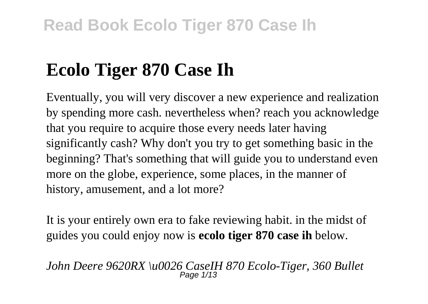# **Ecolo Tiger 870 Case Ih**

Eventually, you will very discover a new experience and realization by spending more cash. nevertheless when? reach you acknowledge that you require to acquire those every needs later having significantly cash? Why don't you try to get something basic in the beginning? That's something that will guide you to understand even more on the globe, experience, some places, in the manner of history, amusement, and a lot more?

It is your entirely own era to fake reviewing habit. in the midst of guides you could enjoy now is **ecolo tiger 870 case ih** below.

*John Deere 9620RX \u0026 CaseIH 870 Ecolo-Tiger, 360 Bullet* Page 1/13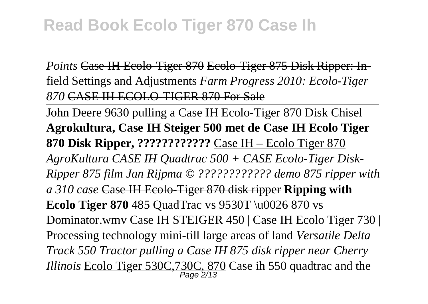*Points* Case IH Ecolo-Tiger 870 Ecolo-Tiger 875 Disk Ripper: Infield Settings and Adjustments *Farm Progress 2010: Ecolo-Tiger 870* CASE IH ECOLO-TIGER 870 For Sale

John Deere 9630 pulling a Case IH Ecolo-Tiger 870 Disk Chisel **Agrokultura, Case IH Steiger 500 met de Case IH Ecolo Tiger 870 Disk Ripper, ????????????** Case IH – Ecolo Tiger 870 *AgroKultura CASE IH Quadtrac 500 + CASE Ecolo-Tiger Disk-Ripper 875 film Jan Rijpma © ???????????? demo 875 ripper with a 310 case* Case IH Ecolo-Tiger 870 disk ripper **Ripping with Ecolo Tiger 870** 485 QuadTrac vs 9530T \u0026 870 vs Dominator.wmv Case IH STEIGER 450 | Case IH Ecolo Tiger 730 | Processing technology mini-till large areas of land *Versatile Delta Track 550 Tractor pulling a Case IH 875 disk ripper near Cherry Illinois* Ecolo Tiger 530C,730C, 870 Case ih 550 quadtrac and the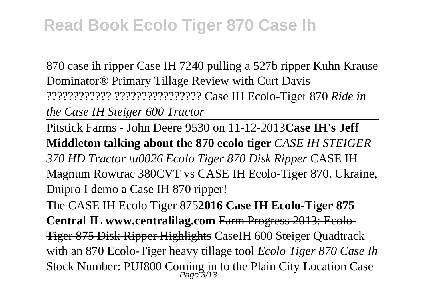870 case ih ripper Case IH 7240 pulling a 527b ripper Kuhn Krause Dominator® Primary Tillage Review with Curt Davis ???????????? ???????????????? Case IH Ecolo-Tiger 870 *Ride in the Case IH Steiger 600 Tractor*

Pitstick Farms - John Deere 9530 on 11-12-2013**Case IH's Jeff Middleton talking about the 870 ecolo tiger** *CASE IH STEIGER 370 HD Tractor \u0026 Ecolo Tiger 870 Disk Ripper* CASE IH Magnum Rowtrac 380CVT vs CASE IH Ecolo-Tiger 870. Ukraine, Dnipro I demo a Case IH 870 ripper!

The CASE IH Ecolo Tiger 875**2016 Case IH Ecolo-Tiger 875 Central IL www.centralilag.com** Farm Progress 2013: Ecolo-Tiger 875 Disk Ripper Highlights CaseIH 600 Steiger Quadtrack with an 870 Ecolo-Tiger heavy tillage tool *Ecolo Tiger 870 Case Ih* Stock Number: PUI800 Coming in to the Plain City Location Case Page 3/13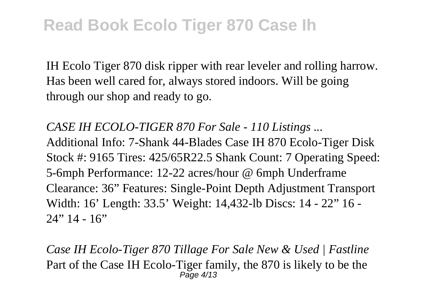IH Ecolo Tiger 870 disk ripper with rear leveler and rolling harrow. Has been well cared for, always stored indoors. Will be going through our shop and ready to go.

*CASE IH ECOLO-TIGER 870 For Sale - 110 Listings ...* Additional Info: 7-Shank 44-Blades Case IH 870 Ecolo-Tiger Disk Stock #: 9165 Tires: 425/65R22.5 Shank Count: 7 Operating Speed: 5-6mph Performance: 12-22 acres/hour @ 6mph Underframe Clearance: 36" Features: Single-Point Depth Adjustment Transport Width: 16' Length: 33.5' Weight: 14,432-lb Discs: 14 - 22" 16 -  $24" 14 - 16"$ 

*Case IH Ecolo-Tiger 870 Tillage For Sale New & Used | Fastline* Part of the Case IH Ecolo-Tiger family, the 870 is likely to be the Page 4/13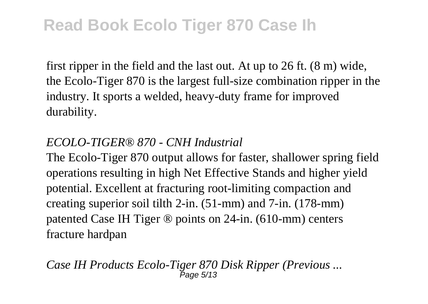first ripper in the field and the last out. At up to 26 ft. (8 m) wide, the Ecolo-Tiger 870 is the largest full-size combination ripper in the industry. It sports a welded, heavy-duty frame for improved durability.

#### *ECOLO-TIGER® 870 - CNH Industrial*

The Ecolo-Tiger 870 output allows for faster, shallower spring field operations resulting in high Net Effective Stands and higher yield potential. Excellent at fracturing root-limiting compaction and creating superior soil tilth 2-in. (51-mm) and 7-in. (178-mm) patented Case IH Tiger ® points on 24-in. (610-mm) centers fracture hardpan

*Case IH Products Ecolo-Tiger 870 Disk Ripper (Previous ...* Page 5/13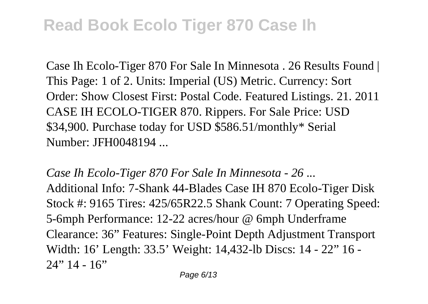Case Ih Ecolo-Tiger 870 For Sale In Minnesota . 26 Results Found | This Page: 1 of 2. Units: Imperial (US) Metric. Currency: Sort Order: Show Closest First: Postal Code. Featured Listings. 21. 2011 CASE IH ECOLO-TIGER 870. Rippers. For Sale Price: USD \$34,900. Purchase today for USD \$586.51/monthly\* Serial Number: JFH0048194 ...

*Case Ih Ecolo-Tiger 870 For Sale In Minnesota - 26 ...* Additional Info: 7-Shank 44-Blades Case IH 870 Ecolo-Tiger Disk Stock #: 9165 Tires: 425/65R22.5 Shank Count: 7 Operating Speed: 5-6mph Performance: 12-22 acres/hour @ 6mph Underframe Clearance: 36" Features: Single-Point Depth Adjustment Transport Width: 16' Length: 33.5' Weight: 14,432-lb Discs: 14 - 22" 16 -  $24" 14 - 16"$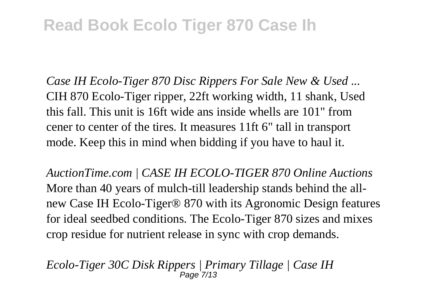*Case IH Ecolo-Tiger 870 Disc Rippers For Sale New & Used ...* CIH 870 Ecolo-Tiger ripper, 22ft working width, 11 shank, Used this fall. This unit is 16ft wide ans inside whells are 101" from cener to center of the tires. It measures 11ft 6" tall in transport mode. Keep this in mind when bidding if you have to haul it.

*AuctionTime.com | CASE IH ECOLO-TIGER 870 Online Auctions* More than 40 years of mulch-till leadership stands behind the allnew Case IH Ecolo-Tiger® 870 with its Agronomic Design features for ideal seedbed conditions. The Ecolo-Tiger 870 sizes and mixes crop residue for nutrient release in sync with crop demands.

*Ecolo-Tiger 30C Disk Rippers | Primary Tillage | Case IH*  $P$ age  $7/13$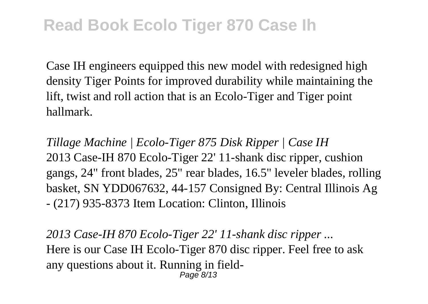Case IH engineers equipped this new model with redesigned high density Tiger Points for improved durability while maintaining the lift, twist and roll action that is an Ecolo-Tiger and Tiger point hallmark.

*Tillage Machine | Ecolo-Tiger 875 Disk Ripper | Case IH* 2013 Case-IH 870 Ecolo-Tiger 22' 11-shank disc ripper, cushion gangs, 24" front blades, 25" rear blades, 16.5" leveler blades, rolling basket, SN YDD067632, 44-157 Consigned By: Central Illinois Ag - (217) 935-8373 Item Location: Clinton, Illinois

*2013 Case-IH 870 Ecolo-Tiger 22' 11-shank disc ripper ...* Here is our Case IH Ecolo-Tiger 870 disc ripper. Feel free to ask any questions about it. Running in field-Page 8/13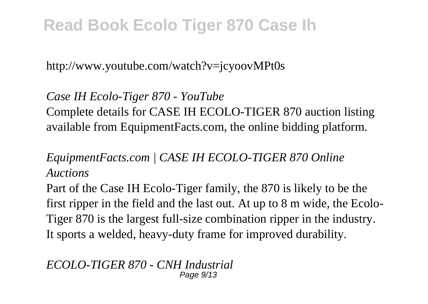http://www.youtube.com/watch?v=jcyoovMPt0s

*Case IH Ecolo-Tiger 870 - YouTube* Complete details for CASE IH ECOLO-TIGER 870 auction listing available from EquipmentFacts.com, the online bidding platform.

#### *EquipmentFacts.com | CASE IH ECOLO-TIGER 870 Online Auctions*

Part of the Case IH Ecolo-Tiger family, the 870 is likely to be the first ripper in the field and the last out. At up to 8 m wide, the Ecolo-Tiger 870 is the largest full-size combination ripper in the industry. It sports a welded, heavy-duty frame for improved durability.

*ECOLO-TIGER 870 - CNH Industrial* Page  $9/13$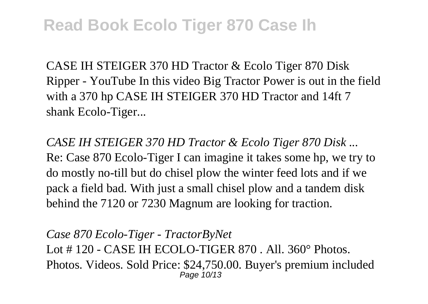CASE IH STEIGER 370 HD Tractor & Ecolo Tiger 870 Disk Ripper - YouTube In this video Big Tractor Power is out in the field with a 370 hp CASE IH STEIGER 370 HD Tractor and 14ft 7 shank Ecolo-Tiger...

*CASE IH STEIGER 370 HD Tractor & Ecolo Tiger 870 Disk ...* Re: Case 870 Ecolo-Tiger I can imagine it takes some hp, we try to do mostly no-till but do chisel plow the winter feed lots and if we pack a field bad. With just a small chisel plow and a tandem disk behind the 7120 or 7230 Magnum are looking for traction.

*Case 870 Ecolo-Tiger - TractorByNet* Lot # 120 - CASE IH ECOLO-TIGER 870 . All. 360° Photos. Photos. Videos. Sold Price: \$24,750.00. Buyer's premium included Page 10/13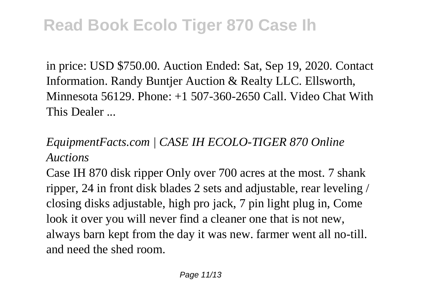in price: USD \$750.00. Auction Ended: Sat, Sep 19, 2020. Contact Information. Randy Buntjer Auction & Realty LLC. Ellsworth, Minnesota 56129. Phone: +1 507-360-2650 Call. Video Chat With This Dealer ...

#### *EquipmentFacts.com | CASE IH ECOLO-TIGER 870 Online Auctions*

Case IH 870 disk ripper Only over 700 acres at the most. 7 shank ripper, 24 in front disk blades 2 sets and adjustable, rear leveling / closing disks adjustable, high pro jack, 7 pin light plug in, Come look it over you will never find a cleaner one that is not new, always barn kept from the day it was new. farmer went all no-till. and need the shed room.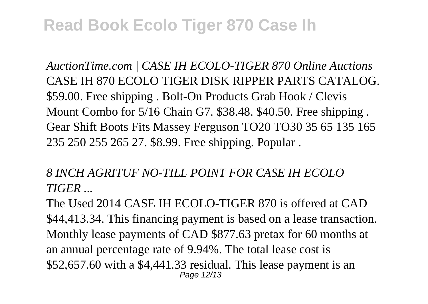*AuctionTime.com | CASE IH ECOLO-TIGER 870 Online Auctions* CASE IH 870 ECOLO TIGER DISK RIPPER PARTS CATALOG. \$59.00. Free shipping . Bolt-On Products Grab Hook / Clevis Mount Combo for 5/16 Chain G7. \$38.48. \$40.50. Free shipping . Gear Shift Boots Fits Massey Ferguson TO20 TO30 35 65 135 165 235 250 255 265 27. \$8.99. Free shipping. Popular .

*8 INCH AGRITUF NO-TILL POINT FOR CASE IH ECOLO TIGER ...*

The Used 2014 CASE IH ECOLO-TIGER 870 is offered at CAD \$44,413.34. This financing payment is based on a lease transaction. Monthly lease payments of CAD \$877.63 pretax for 60 months at an annual percentage rate of 9.94%. The total lease cost is \$52,657.60 with a \$4,441.33 residual. This lease payment is an Page 12/13